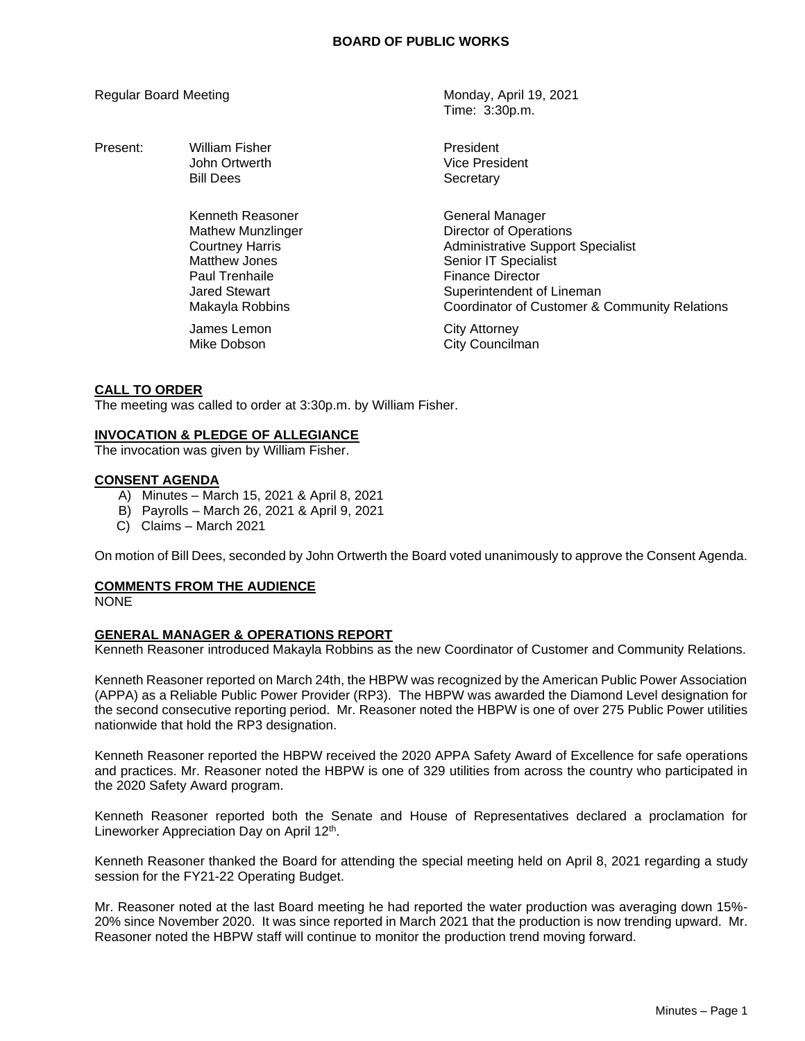Regular Board Meeting Monday, April 19, 2021

Time: 3:30p.m.

| Present: | <b>William Fisher</b><br>John Ortwerth<br><b>Bill Dees</b>                                                                                    | President<br>Vice President<br>Secretary                                                                                                                                                                                      |
|----------|-----------------------------------------------------------------------------------------------------------------------------------------------|-------------------------------------------------------------------------------------------------------------------------------------------------------------------------------------------------------------------------------|
|          | Kenneth Reasoner<br><b>Mathew Munzlinger</b><br><b>Courtney Harris</b><br>Matthew Jones<br>Paul Trenhaile<br>Jared Stewart<br>Makayla Robbins | General Manager<br><b>Director of Operations</b><br><b>Administrative Support Specialist</b><br>Senior IT Specialist<br><b>Finance Director</b><br>Superintendent of Lineman<br>Coordinator of Customer & Community Relations |
|          | James Lemon<br>Mike Dobson                                                                                                                    | <b>City Attorney</b><br>City Councilman                                                                                                                                                                                       |

# **CALL TO ORDER**

The meeting was called to order at 3:30p.m. by William Fisher.

#### **INVOCATION & PLEDGE OF ALLEGIANCE**

The invocation was given by William Fisher.

#### **CONSENT AGENDA**

- A) Minutes March 15, 2021 & April 8, 2021
- B) Payrolls March 26, 2021 & April 9, 2021
- C) Claims March 2021

On motion of Bill Dees, seconded by John Ortwerth the Board voted unanimously to approve the Consent Agenda.

# **COMMENTS FROM THE AUDIENCE**

**NONE** 

# **GENERAL MANAGER & OPERATIONS REPORT**

Kenneth Reasoner introduced Makayla Robbins as the new Coordinator of Customer and Community Relations.

Kenneth Reasoner reported on March 24th, the HBPW was recognized by the American Public Power Association (APPA) as a Reliable Public Power Provider (RP3). The HBPW was awarded the Diamond Level designation for the second consecutive reporting period. Mr. Reasoner noted the HBPW is one of over 275 Public Power utilities nationwide that hold the RP3 designation.

Kenneth Reasoner reported the HBPW received the 2020 APPA Safety Award of Excellence for safe operations and practices. Mr. Reasoner noted the HBPW is one of 329 utilities from across the country who participated in the 2020 Safety Award program.

Kenneth Reasoner reported both the Senate and House of Representatives declared a proclamation for Lineworker Appreciation Day on April 12<sup>th</sup>.

Kenneth Reasoner thanked the Board for attending the special meeting held on April 8, 2021 regarding a study session for the FY21-22 Operating Budget.

Mr. Reasoner noted at the last Board meeting he had reported the water production was averaging down 15%- 20% since November 2020. It was since reported in March 2021 that the production is now trending upward. Mr. Reasoner noted the HBPW staff will continue to monitor the production trend moving forward.